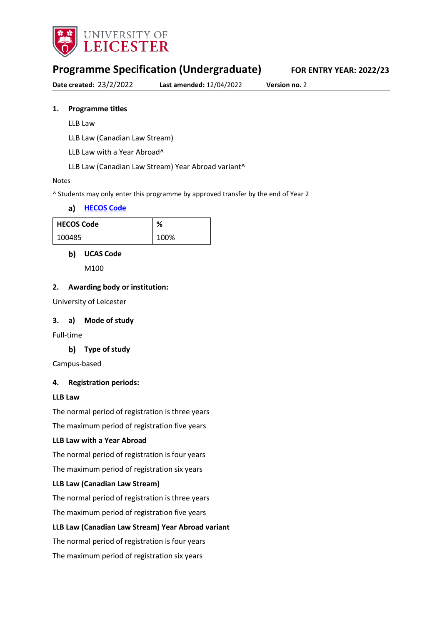

# **Programme Specification (Undergraduate) FOR ENTRY YEAR: 2022/23**

**Date created:** 23/2/2022 **Last amended:** 12/04/2022 **Version no.** 2

### **1. Programme titles**

- LLB Law
- LLB Law (Canadian Law Stream)
- LLB Law with a Year Abroad^
- LLB Law (Canadian Law Stream) Year Abroad variant^

#### Notes

^ Students may only enter this programme by approved transfer by the end of Year 2

#### **[HECOS Code](https://www.hesa.ac.uk/innovation/hecos)**

| <b>HECOS Code</b> | %    |
|-------------------|------|
| 100485            | 100% |

#### **UCAS Code**

M100

#### **2. Awarding body or institution:**

University of Leicester

#### **3. a) Mode of study**

Full-time

#### **Type of study**

Campus-based

#### **4. Registration periods:**

#### **LLB Law**

The normal period of registration is three years

The maximum period of registration five years

#### **LLB Law with a Year Abroad**

The normal period of registration is four years

The maximum period of registration six years

#### **LLB Law (Canadian Law Stream)**

The normal period of registration is three years

The maximum period of registration five years

#### **LLB Law (Canadian Law Stream) Year Abroad variant**

The normal period of registration is four years

The maximum period of registration six years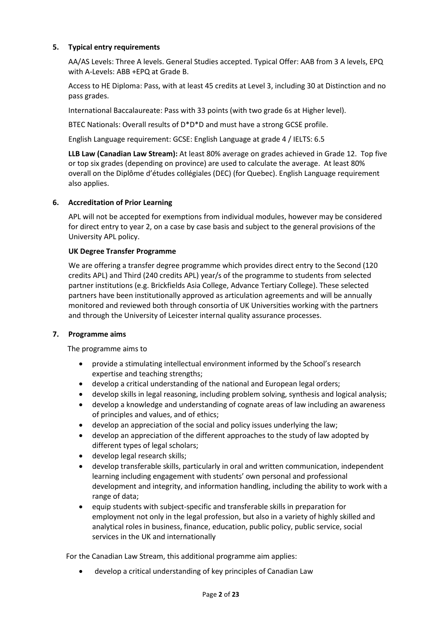### **5. Typical entry requirements**

AA/AS Levels: Three A levels. General Studies accepted. Typical Offer: AAB from 3 A levels, EPQ with A-Levels: ABB +EPQ at Grade B.

Access to HE Diploma: Pass, with at least 45 credits at Level 3, including 30 at Distinction and no pass grades.

International Baccalaureate: Pass with 33 points (with two grade 6s at Higher level).

BTEC Nationals: Overall results of D\*D\*D and must have a strong GCSE profile.

English Language requirement: GCSE: English Language at grade 4 / IELTS: 6.5

**LLB Law (Canadian Law Stream):** At least 80% average on grades achieved in Grade 12. Top five or top six grades (depending on province) are used to calculate the average. At least 80% overall on the Diplôme d'études collégiales (DEC) (for Quebec). English Language requirement also applies.

### **6. Accreditation of Prior Learning**

APL will not be accepted for exemptions from individual modules, however may be considered for direct entry to year 2, on a case by case basis and subject to the general provisions of the University APL policy.

#### **UK Degree Transfer Programme**

We are offering a transfer degree programme which provides direct entry to the Second (120 credits APL) and Third (240 credits APL) year/s of the programme to students from selected partner institutions (e.g. Brickfields Asia College, Advance Tertiary College). These selected partners have been institutionally approved as articulation agreements and will be annually monitored and reviewed both through consortia of UK Universities working with the partners and through the University of Leicester internal quality assurance processes.

#### **7. Programme aims**

The programme aims to

- provide a stimulating intellectual environment informed by the School's research expertise and teaching strengths;
- develop a critical understanding of the national and European legal orders;
- develop skills in legal reasoning, including problem solving, synthesis and logical analysis;
- develop a knowledge and understanding of cognate areas of law including an awareness of principles and values, and of ethics;
- develop an appreciation of the social and policy issues underlying the law;
- develop an appreciation of the different approaches to the study of law adopted by different types of legal scholars;
- develop legal research skills;
- develop transferable skills, particularly in oral and written communication, independent learning including engagement with students' own personal and professional development and integrity, and information handling, including the ability to work with a range of data;
- equip students with subject-specific and transferable skills in preparation for employment not only in the legal profession, but also in a variety of highly skilled and analytical roles in business, finance, education, public policy, public service, social services in the UK and internationally

For the Canadian Law Stream, this additional programme aim applies:

• develop a critical understanding of key principles of Canadian Law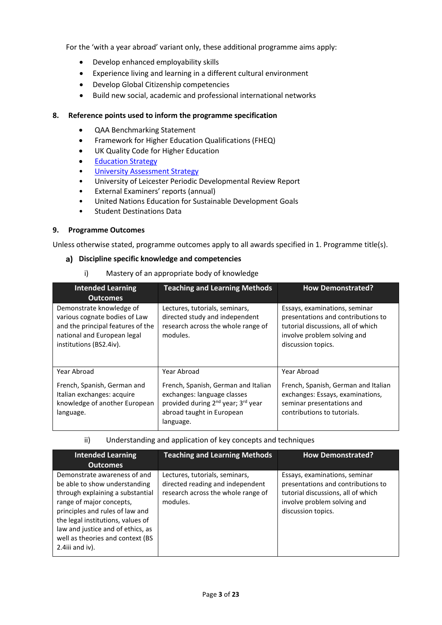For the 'with a year abroad' variant only, these additional programme aims apply:

- Develop enhanced employability skills
- Experience living and learning in a different cultural environment
- Develop Global Citizenship competencies
- Build new social, academic and professional international networks

#### **8. Reference points used to inform the programme specification**

- QAA Benchmarking Statement
- Framework for Higher Education Qualifications (FHEQ)
- UK Quality Code for Higher Education
- Education Strategy
- **[University Assessment Strategy](https://www2.le.ac.uk/offices/sas2/quality/learnteach)**
- University of Leicester Periodic Developmental Review Report
- External Examiners' reports (annual)
- United Nations Education for Sustainable Development Goals
- Student Destinations Data

#### **9. Programme Outcomes**

Unless otherwise stated, programme outcomes apply to all awards specified in 1. Programme title(s).

#### **Discipline specific knowledge and competencies**

i) Mastery of an appropriate body of knowledge

| <b>Intended Learning</b><br><b>Outcomes</b>                                                                                                              | <b>Teaching and Learning Methods</b>                                                                                                                                         | <b>How Demonstrated?</b>                                                                                                                                       |
|----------------------------------------------------------------------------------------------------------------------------------------------------------|------------------------------------------------------------------------------------------------------------------------------------------------------------------------------|----------------------------------------------------------------------------------------------------------------------------------------------------------------|
| Demonstrate knowledge of<br>various cognate bodies of Law<br>and the principal features of the<br>national and European legal<br>institutions (BS2.4iv). | Lectures, tutorials, seminars,<br>directed study and independent<br>research across the whole range of<br>modules.                                                           | Essays, examinations, seminar<br>presentations and contributions to<br>tutorial discussions, all of which<br>involve problem solving and<br>discussion topics. |
| Year Abroad<br>French, Spanish, German and<br>Italian exchanges: acquire<br>knowledge of another European<br>language.                                   | Year Abroad<br>French, Spanish, German and Italian<br>exchanges: language classes<br>provided during 2 <sup>nd</sup> year; 3 <sup>rd</sup> year<br>abroad taught in European | Year Abroad<br>French, Spanish, German and Italian<br>exchanges: Essays, examinations,<br>seminar presentations and<br>contributions to tutorials.             |
|                                                                                                                                                          | language.                                                                                                                                                                    |                                                                                                                                                                |

ii) Understanding and application of key concepts and techniques

| <b>Intended Learning</b>                                                                                                                                                                                                                                                                             | <b>Teaching and Learning Methods</b>                                                                                 | <b>How Demonstrated?</b>                                                                                                                                       |
|------------------------------------------------------------------------------------------------------------------------------------------------------------------------------------------------------------------------------------------------------------------------------------------------------|----------------------------------------------------------------------------------------------------------------------|----------------------------------------------------------------------------------------------------------------------------------------------------------------|
| <b>Outcomes</b>                                                                                                                                                                                                                                                                                      |                                                                                                                      |                                                                                                                                                                |
| Demonstrate awareness of and<br>be able to show understanding<br>through explaining a substantial<br>range of major concepts,<br>principles and rules of law and<br>the legal institutions, values of<br>law and justice and of ethics, as<br>well as theories and context (BS<br>$2.4$ iii and iv). | Lectures, tutorials, seminars,<br>directed reading and independent<br>research across the whole range of<br>modules. | Essays, examinations, seminar<br>presentations and contributions to<br>tutorial discussions, all of which<br>involve problem solving and<br>discussion topics. |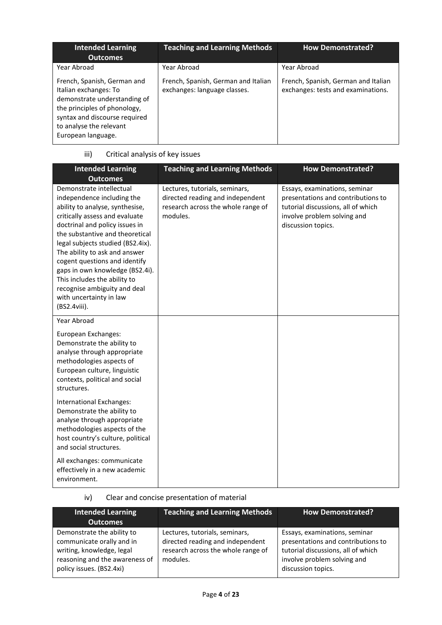| <b>Intended Learning</b><br><b>Outcomes</b>                                                                                                                                                            | <b>Teaching and Learning Methods</b>                                | <b>How Demonstrated?</b>                                                  |
|--------------------------------------------------------------------------------------------------------------------------------------------------------------------------------------------------------|---------------------------------------------------------------------|---------------------------------------------------------------------------|
| Year Abroad                                                                                                                                                                                            | Year Abroad                                                         | Year Abroad                                                               |
| French, Spanish, German and<br>Italian exchanges: To<br>demonstrate understanding of<br>the principles of phonology,<br>syntax and discourse required<br>to analyse the relevant<br>European language. | French, Spanish, German and Italian<br>exchanges: language classes. | French, Spanish, German and Italian<br>exchanges: tests and examinations. |

# iii) Critical analysis of key issues

| <b>Intended Learning</b><br><b>Outcomes</b>                                                                                                                                                                                                                                                                                                                                                                                                           | <b>Teaching and Learning Methods</b>                                                                                 | <b>How Demonstrated?</b>                                                                                                                                       |
|-------------------------------------------------------------------------------------------------------------------------------------------------------------------------------------------------------------------------------------------------------------------------------------------------------------------------------------------------------------------------------------------------------------------------------------------------------|----------------------------------------------------------------------------------------------------------------------|----------------------------------------------------------------------------------------------------------------------------------------------------------------|
| Demonstrate intellectual<br>independence including the<br>ability to analyse, synthesise,<br>critically assess and evaluate<br>doctrinal and policy issues in<br>the substantive and theoretical<br>legal subjects studied (BS2.4ix).<br>The ability to ask and answer<br>cogent questions and identify<br>gaps in own knowledge (BS2.4i).<br>This includes the ability to<br>recognise ambiguity and deal<br>with uncertainty in law<br>(BS2.4viii). | Lectures, tutorials, seminars,<br>directed reading and independent<br>research across the whole range of<br>modules. | Essays, examinations, seminar<br>presentations and contributions to<br>tutorial discussions, all of which<br>involve problem solving and<br>discussion topics. |
| Year Abroad<br>European Exchanges:<br>Demonstrate the ability to<br>analyse through appropriate<br>methodologies aspects of<br>European culture, linguistic<br>contexts, political and social<br>structures.                                                                                                                                                                                                                                          |                                                                                                                      |                                                                                                                                                                |
| International Exchanges:<br>Demonstrate the ability to<br>analyse through appropriate<br>methodologies aspects of the<br>host country's culture, political<br>and social structures.                                                                                                                                                                                                                                                                  |                                                                                                                      |                                                                                                                                                                |
| All exchanges: communicate<br>effectively in a new academic<br>environment.                                                                                                                                                                                                                                                                                                                                                                           |                                                                                                                      |                                                                                                                                                                |

# iv) Clear and concise presentation of material

| <b>Intended Learning</b>                                                                                                                           | <b>Teaching and Learning Methods</b>                                                                                 | <b>How Demonstrated?</b>                                                                                                                                       |
|----------------------------------------------------------------------------------------------------------------------------------------------------|----------------------------------------------------------------------------------------------------------------------|----------------------------------------------------------------------------------------------------------------------------------------------------------------|
| <b>Outcomes</b>                                                                                                                                    |                                                                                                                      |                                                                                                                                                                |
| Demonstrate the ability to<br>communicate orally and in<br>writing, knowledge, legal<br>reasoning and the awareness of<br>policy issues. (BS2.4xi) | Lectures, tutorials, seminars,<br>directed reading and independent<br>research across the whole range of<br>modules. | Essays, examinations, seminar<br>presentations and contributions to<br>tutorial discussions, all of which<br>involve problem solving and<br>discussion topics. |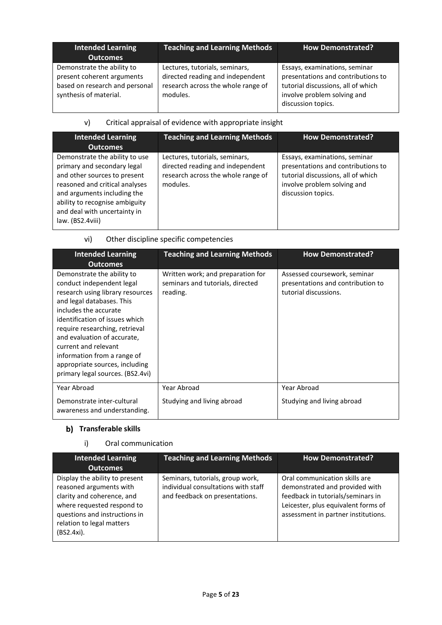| <b>Intended Learning</b><br><b>Outcomes</b>                                                                          | <b>Teaching and Learning Methods</b>                                                                                 | <b>How Demonstrated?</b>                                                                                                                                       |
|----------------------------------------------------------------------------------------------------------------------|----------------------------------------------------------------------------------------------------------------------|----------------------------------------------------------------------------------------------------------------------------------------------------------------|
| Demonstrate the ability to<br>present coherent arguments<br>based on research and personal<br>synthesis of material. | Lectures, tutorials, seminars,<br>directed reading and independent<br>research across the whole range of<br>modules. | Essays, examinations, seminar<br>presentations and contributions to<br>tutorial discussions, all of which<br>involve problem solving and<br>discussion topics. |

## v) Critical appraisal of evidence with appropriate insight

| <b>Intended Learning</b>                                                                                                                                                                                                                             | <b>Teaching and Learning Methods</b>                                                                                 | <b>How Demonstrated?</b>                                                                                                                                       |
|------------------------------------------------------------------------------------------------------------------------------------------------------------------------------------------------------------------------------------------------------|----------------------------------------------------------------------------------------------------------------------|----------------------------------------------------------------------------------------------------------------------------------------------------------------|
| <b>Outcomes</b>                                                                                                                                                                                                                                      |                                                                                                                      |                                                                                                                                                                |
| Demonstrate the ability to use<br>primary and secondary legal<br>and other sources to present<br>reasoned and critical analyses<br>and arguments including the<br>ability to recognise ambiguity<br>and deal with uncertainty in<br>law. (BS2.4viii) | Lectures, tutorials, seminars,<br>directed reading and independent<br>research across the whole range of<br>modules. | Essays, examinations, seminar<br>presentations and contributions to<br>tutorial discussions, all of which<br>involve problem solving and<br>discussion topics. |

## vi) Other discipline specific competencies

| <b>Intended Learning</b><br><b>Outcomes</b>                                                                                                                                                                                                                                                                                                                                       | <b>Teaching and Learning Methods</b>                                              | <b>How Demonstrated?</b>                                                                   |
|-----------------------------------------------------------------------------------------------------------------------------------------------------------------------------------------------------------------------------------------------------------------------------------------------------------------------------------------------------------------------------------|-----------------------------------------------------------------------------------|--------------------------------------------------------------------------------------------|
| Demonstrate the ability to<br>conduct independent legal<br>research using library resources<br>and legal databases. This<br>includes the accurate<br>identification of issues which<br>require researching, retrieval<br>and evaluation of accurate,<br>current and relevant<br>information from a range of<br>appropriate sources, including<br>primary legal sources. (BS2.4vi) | Written work; and preparation for<br>seminars and tutorials, directed<br>reading. | Assessed coursework, seminar<br>presentations and contribution to<br>tutorial discussions. |
| Year Abroad                                                                                                                                                                                                                                                                                                                                                                       | Year Abroad                                                                       | Year Abroad                                                                                |
| Demonstrate inter-cultural<br>awareness and understanding.                                                                                                                                                                                                                                                                                                                        | Studying and living abroad                                                        | Studying and living abroad                                                                 |

## **b)** Transferable skills

### i) Oral communication

| <b>Intended Learning</b><br><b>Outcomes</b>                                                                                                                                                       | <b>Teaching and Learning Methods</b>                                                                      | <b>How Demonstrated?</b>                                                                                                                                                           |
|---------------------------------------------------------------------------------------------------------------------------------------------------------------------------------------------------|-----------------------------------------------------------------------------------------------------------|------------------------------------------------------------------------------------------------------------------------------------------------------------------------------------|
| Display the ability to present<br>reasoned arguments with<br>clarity and coherence, and<br>where requested respond to<br>questions and instructions in<br>relation to legal matters<br>(BS2.4xi). | Seminars, tutorials, group work,<br>individual consultations with staff<br>and feedback on presentations. | Oral communication skills are<br>demonstrated and provided with<br>feedback in tutorials/seminars in<br>Leicester, plus equivalent forms of<br>assessment in partner institutions. |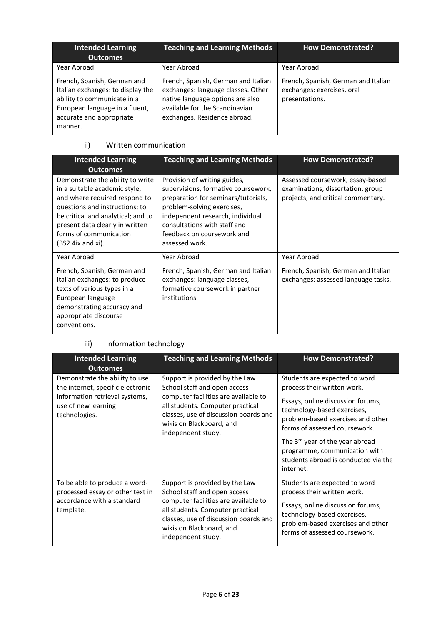| <b>Intended Learning</b><br>Outcomes                                                                                                                                     | <b>Teaching and Learning Methods</b>                                                                                                                                            | <b>How Demonstrated?</b>                                                            |
|--------------------------------------------------------------------------------------------------------------------------------------------------------------------------|---------------------------------------------------------------------------------------------------------------------------------------------------------------------------------|-------------------------------------------------------------------------------------|
| Year Abroad                                                                                                                                                              | Year Abroad                                                                                                                                                                     | Year Abroad                                                                         |
| French, Spanish, German and<br>Italian exchanges: to display the<br>ability to communicate in a<br>European language in a fluent,<br>accurate and appropriate<br>manner. | French, Spanish, German and Italian<br>exchanges: language classes. Other<br>native language options are also<br>available for the Scandinavian<br>exchanges. Residence abroad. | French, Spanish, German and Italian<br>exchanges: exercises, oral<br>presentations. |

### ii) Written communication

| <b>Intended Learning</b><br><b>Outcomes</b>                                                                                                                                                                                                                       | <b>Teaching and Learning Methods</b>                                                                                                                                                                                                                         | <b>How Demonstrated?</b>                                                                                    |
|-------------------------------------------------------------------------------------------------------------------------------------------------------------------------------------------------------------------------------------------------------------------|--------------------------------------------------------------------------------------------------------------------------------------------------------------------------------------------------------------------------------------------------------------|-------------------------------------------------------------------------------------------------------------|
| Demonstrate the ability to write<br>in a suitable academic style;<br>and where required respond to<br>questions and instructions; to<br>be critical and analytical; and to<br>present data clearly in written<br>forms of communication<br>$(BS2.4ix$ and $xi)$ . | Provision of writing guides,<br>supervisions, formative coursework,<br>preparation for seminars/tutorials,<br>problem-solving exercises,<br>independent research, individual<br>consultations with staff and<br>feedback on coursework and<br>assessed work. | Assessed coursework, essay-based<br>examinations, dissertation, group<br>projects, and critical commentary. |
| Year Abroad                                                                                                                                                                                                                                                       | Year Abroad                                                                                                                                                                                                                                                  | Year Abroad                                                                                                 |
| French, Spanish, German and<br>Italian exchanges: to produce<br>texts of various types in a<br>European language<br>demonstrating accuracy and<br>appropriate discourse<br>conventions.                                                                           | French, Spanish, German and Italian<br>exchanges: language classes,<br>formative coursework in partner<br>institutions.                                                                                                                                      | French, Spanish, German and Italian<br>exchanges: assessed language tasks.                                  |

# iii) Information technology

| <b>Intended Learning</b><br><b>Outcomes</b>                                                                                                   | <b>Teaching and Learning Methods</b>                                                                                                                                                                                                  | <b>How Demonstrated?</b>                                                                                                                                                                                                                                                                                                                    |
|-----------------------------------------------------------------------------------------------------------------------------------------------|---------------------------------------------------------------------------------------------------------------------------------------------------------------------------------------------------------------------------------------|---------------------------------------------------------------------------------------------------------------------------------------------------------------------------------------------------------------------------------------------------------------------------------------------------------------------------------------------|
| Demonstrate the ability to use<br>the internet, specific electronic<br>information retrieval systems,<br>use of new learning<br>technologies. | Support is provided by the Law<br>School staff and open access<br>computer facilities are available to<br>all students. Computer practical<br>classes, use of discussion boards and<br>wikis on Blackboard, and<br>independent study. | Students are expected to word<br>process their written work.<br>Essays, online discussion forums,<br>technology-based exercises,<br>problem-based exercises and other<br>forms of assessed coursework.<br>The 3 <sup>rd</sup> year of the year abroad<br>programme, communication with<br>students abroad is conducted via the<br>internet. |
| To be able to produce a word-<br>processed essay or other text in<br>accordance with a standard<br>template.                                  | Support is provided by the Law<br>School staff and open access<br>computer facilities are available to<br>all students. Computer practical<br>classes, use of discussion boards and<br>wikis on Blackboard, and<br>independent study. | Students are expected to word<br>process their written work.<br>Essays, online discussion forums,<br>technology-based exercises,<br>problem-based exercises and other<br>forms of assessed coursework.                                                                                                                                      |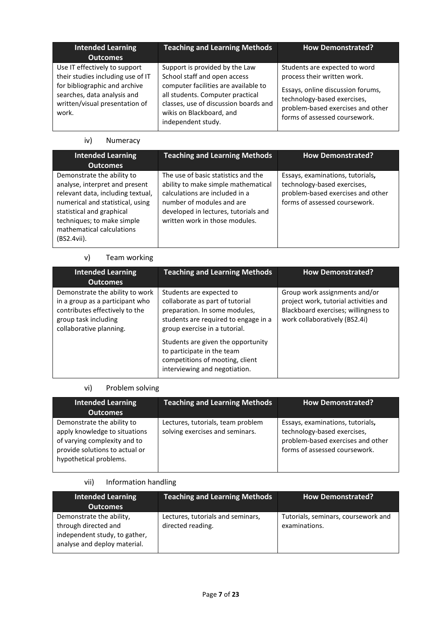| <b>Intended Learning</b><br><b>Outcomes</b>                                                                                                                                   | <b>Teaching and Learning Methods</b>                                                                                                                                                                                                  | <b>How Demonstrated?</b>                                                                                                                                                                               |
|-------------------------------------------------------------------------------------------------------------------------------------------------------------------------------|---------------------------------------------------------------------------------------------------------------------------------------------------------------------------------------------------------------------------------------|--------------------------------------------------------------------------------------------------------------------------------------------------------------------------------------------------------|
| Use IT effectively to support<br>their studies including use of IT<br>for bibliographic and archive<br>searches, data analysis and<br>written/visual presentation of<br>work. | Support is provided by the Law<br>School staff and open access<br>computer facilities are available to<br>all students. Computer practical<br>classes, use of discussion boards and<br>wikis on Blackboard, and<br>independent study. | Students are expected to word<br>process their written work.<br>Essays, online discussion forums,<br>technology-based exercises,<br>problem-based exercises and other<br>forms of assessed coursework. |

### iv) Numeracy

| <b>Intended Learning</b><br><b>Outcomes</b>                                                                                                                                                                                                  | <b>Teaching and Learning Methods</b>                                                                                                                                                                                | <b>How Demonstrated?</b>                                                                                                              |
|----------------------------------------------------------------------------------------------------------------------------------------------------------------------------------------------------------------------------------------------|---------------------------------------------------------------------------------------------------------------------------------------------------------------------------------------------------------------------|---------------------------------------------------------------------------------------------------------------------------------------|
| Demonstrate the ability to<br>analyse, interpret and present<br>relevant data, including textual,<br>numerical and statistical, using<br>statistical and graphical<br>techniques; to make simple<br>mathematical calculations<br>(BS2.4vii). | The use of basic statistics and the<br>ability to make simple mathematical<br>calculations are included in a<br>number of modules and are<br>developed in lectures, tutorials and<br>written work in those modules. | Essays, examinations, tutorials,<br>technology-based exercises,<br>problem-based exercises and other<br>forms of assessed coursework. |

## v) Team working

| <b>Intended Learning</b><br><b>Outcomes</b>                                                                                                             | <b>Teaching and Learning Methods</b>                                                                                                                                  | <b>How Demonstrated?</b>                                                                                                                        |
|---------------------------------------------------------------------------------------------------------------------------------------------------------|-----------------------------------------------------------------------------------------------------------------------------------------------------------------------|-------------------------------------------------------------------------------------------------------------------------------------------------|
| Demonstrate the ability to work<br>in a group as a participant who<br>contributes effectively to the<br>group task including<br>collaborative planning. | Students are expected to<br>collaborate as part of tutorial<br>preparation. In some modules,<br>students are required to engage in a<br>group exercise in a tutorial. | Group work assignments and/or<br>project work, tutorial activities and<br>Blackboard exercises; willingness to<br>work collaboratively (BS2.4i) |
|                                                                                                                                                         | Students are given the opportunity<br>to participate in the team<br>competitions of mooting, client<br>interviewing and negotiation.                                  |                                                                                                                                                 |

## vi) Problem solving

| <b>Intended Learning</b><br><b>Outcomes</b>                                                                                                             | <b>Teaching and Learning Methods</b>                                 | <b>How Demonstrated?</b>                                                                                                              |
|---------------------------------------------------------------------------------------------------------------------------------------------------------|----------------------------------------------------------------------|---------------------------------------------------------------------------------------------------------------------------------------|
| Demonstrate the ability to<br>apply knowledge to situations<br>of varying complexity and to<br>provide solutions to actual or<br>hypothetical problems. | Lectures, tutorials, team problem<br>solving exercises and seminars. | Essays, examinations, tutorials,<br>technology-based exercises,<br>problem-based exercises and other<br>forms of assessed coursework. |

## vii) Information handling

| <b>Intended Learning</b><br><b>Outcomes</b>                                                                       | <b>Teaching and Learning Methods</b>                   | <b>How Demonstrated?</b>                             |
|-------------------------------------------------------------------------------------------------------------------|--------------------------------------------------------|------------------------------------------------------|
| Demonstrate the ability,<br>through directed and<br>independent study, to gather,<br>analyse and deploy material. | Lectures, tutorials and seminars,<br>directed reading. | Tutorials, seminars, coursework and<br>examinations. |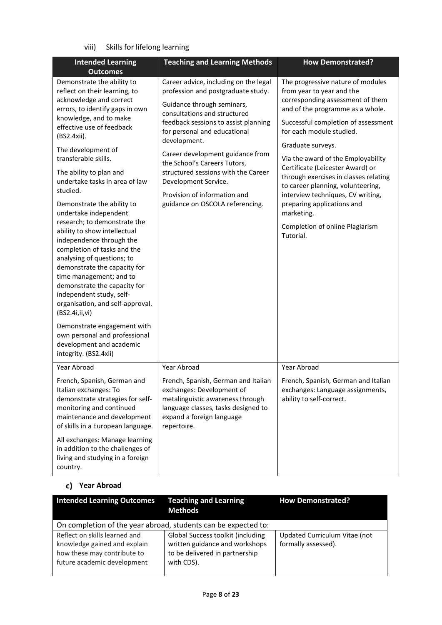## viii) Skills for lifelong learning

| <b>Intended Learning</b>                                                                                                                                                                                                                                                                                                                                                                                                                                                                                       | <b>Teaching and Learning Methods</b>                                                                                                                                                                                              | <b>How Demonstrated?</b>                                                                                                                                                                                                       |
|----------------------------------------------------------------------------------------------------------------------------------------------------------------------------------------------------------------------------------------------------------------------------------------------------------------------------------------------------------------------------------------------------------------------------------------------------------------------------------------------------------------|-----------------------------------------------------------------------------------------------------------------------------------------------------------------------------------------------------------------------------------|--------------------------------------------------------------------------------------------------------------------------------------------------------------------------------------------------------------------------------|
| <b>Outcomes</b>                                                                                                                                                                                                                                                                                                                                                                                                                                                                                                |                                                                                                                                                                                                                                   |                                                                                                                                                                                                                                |
| Demonstrate the ability to<br>reflect on their learning, to<br>acknowledge and correct<br>errors, to identify gaps in own<br>knowledge, and to make<br>effective use of feedback<br>(BS2.4xii).                                                                                                                                                                                                                                                                                                                | Career advice, including on the legal<br>profession and postgraduate study.<br>Guidance through seminars,<br>consultations and structured<br>feedback sessions to assist planning<br>for personal and educational<br>development. | The progressive nature of modules<br>from year to year and the<br>corresponding assessment of them<br>and of the programme as a whole.<br>Successful completion of assessment<br>for each module studied.<br>Graduate surveys. |
| The development of<br>transferable skills.<br>The ability to plan and<br>undertake tasks in area of law<br>studied.                                                                                                                                                                                                                                                                                                                                                                                            | Career development guidance from<br>the School's Careers Tutors,<br>structured sessions with the Career<br>Development Service.<br>Provision of information and                                                                   | Via the award of the Employability<br>Certificate (Leicester Award) or<br>through exercises in classes relating<br>to career planning, volunteering,<br>interview techniques, CV writing,                                      |
| Demonstrate the ability to<br>undertake independent<br>research; to demonstrate the<br>ability to show intellectual<br>independence through the<br>completion of tasks and the<br>analysing of questions; to<br>demonstrate the capacity for<br>time management; and to<br>demonstrate the capacity for<br>independent study, self-<br>organisation, and self-approval.<br>(BS2.4i,ii,vi)<br>Demonstrate engagement with<br>own personal and professional<br>development and academic<br>integrity. (BS2.4xii) | guidance on OSCOLA referencing.                                                                                                                                                                                                   | preparing applications and<br>marketing.<br>Completion of online Plagiarism<br>Tutorial.                                                                                                                                       |
| Year Abroad                                                                                                                                                                                                                                                                                                                                                                                                                                                                                                    | Year Abroad                                                                                                                                                                                                                       | Year Abroad                                                                                                                                                                                                                    |
| French, Spanish, German and<br>Italian exchanges: To<br>demonstrate strategies for self-<br>monitoring and continued<br>maintenance and development<br>of skills in a European language.                                                                                                                                                                                                                                                                                                                       | French, Spanish, German and Italian<br>exchanges: Development of<br>metalinguistic awareness through<br>language classes, tasks designed to<br>expand a foreign language<br>repertoire.                                           | French, Spanish, German and Italian<br>exchanges: Language assignments,<br>ability to self-correct.                                                                                                                            |
| All exchanges: Manage learning<br>in addition to the challenges of<br>living and studying in a foreign<br>country.                                                                                                                                                                                                                                                                                                                                                                                             |                                                                                                                                                                                                                                   |                                                                                                                                                                                                                                |

## **Year Abroad**

| <b>Intended Learning Outcomes</b>                                                                                           | <b>Teaching and Learning</b><br><b>Methods</b>                                                                      | <b>How Demonstrated?</b>                             |
|-----------------------------------------------------------------------------------------------------------------------------|---------------------------------------------------------------------------------------------------------------------|------------------------------------------------------|
| On completion of the year abroad, students can be expected to:                                                              |                                                                                                                     |                                                      |
| Reflect on skills learned and<br>knowledge gained and explain<br>how these may contribute to<br>future academic development | Global Success toolkit (including<br>written guidance and workshops<br>to be delivered in partnership<br>with CDS). | Updated Curriculum Vitae (not<br>formally assessed). |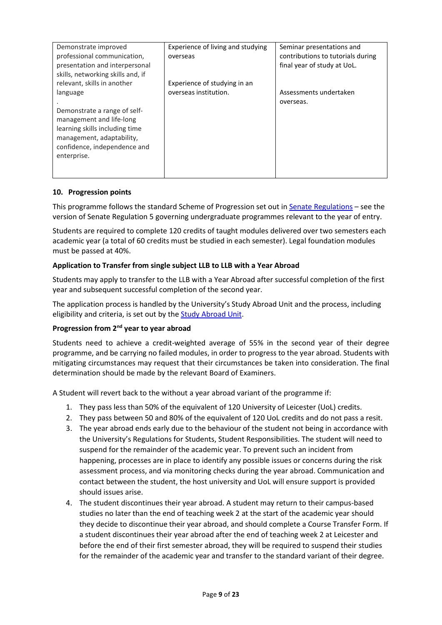| Demonstrate improved              | Experience of living and studying | Seminar presentations and         |
|-----------------------------------|-----------------------------------|-----------------------------------|
| professional communication,       | overseas                          | contributions to tutorials during |
| presentation and interpersonal    |                                   | final year of study at UoL.       |
| skills, networking skills and, if |                                   |                                   |
| relevant, skills in another       | Experience of studying in an      |                                   |
| language                          | overseas institution.             | Assessments undertaken            |
|                                   |                                   | overseas.                         |
| Demonstrate a range of self-      |                                   |                                   |
| management and life-long          |                                   |                                   |
| learning skills including time    |                                   |                                   |
| management, adaptability,         |                                   |                                   |
| confidence, independence and      |                                   |                                   |
| enterprise.                       |                                   |                                   |
|                                   |                                   |                                   |
|                                   |                                   |                                   |

### **10. Progression points**

This programme follows the standard Scheme of Progression set out i[n Senate Regulations](http://www.le.ac.uk/senate-regulations) – see the version of Senate Regulation 5 governing undergraduate programmes relevant to the year of entry.

Students are required to complete 120 credits of taught modules delivered over two semesters each academic year (a total of 60 credits must be studied in each semester). Legal foundation modules must be passed at 40%.

### **Application to Transfer from single subject LLB to LLB with a Year Abroad**

Students may apply to transfer to the LLB with a Year Abroad after successful completion of the first year and subsequent successful completion of the second year.

The application process is handled by the University's Study Abroad Unit and the process, including eligibility and criteria, is set out by th[e Study Abroad Unit.](https://uniofleicester.sharepoint.com/sites/StudyAbroad)

#### **Progression from 2nd year to year abroad**

Students need to achieve a credit-weighted average of 55% in the second year of their degree programme, and be carrying no failed modules, in order to progress to the year abroad. Students with mitigating circumstances may request that their circumstances be taken into consideration. The final determination should be made by the relevant Board of Examiners.

A Student will revert back to the without a year abroad variant of the programme if:

- 1. They pass less than 50% of the equivalent of 120 University of Leicester (UoL) credits.
- 2. They pass between 50 and 80% of the equivalent of 120 UoL credits and do not pass a resit.
- 3. The year abroad ends early due to the behaviour of the student not being in accordance with the University's Regulations for Students, Student Responsibilities. The student will need to suspend for the remainder of the academic year. To prevent such an incident from happening, processes are in place to identify any possible issues or concerns during the risk assessment process, and via monitoring checks during the year abroad. Communication and contact between the student, the host university and UoL will ensure support is provided should issues arise.
- 4. The student discontinues their year abroad. A student may return to their campus-based studies no later than the end of teaching week 2 at the start of the academic year should they decide to discontinue their year abroad, and should complete a Course Transfer Form. If a student discontinues their year abroad after the end of teaching week 2 at Leicester and before the end of their first semester abroad, they will be required to suspend their studies for the remainder of the academic year and transfer to the standard variant of their degree.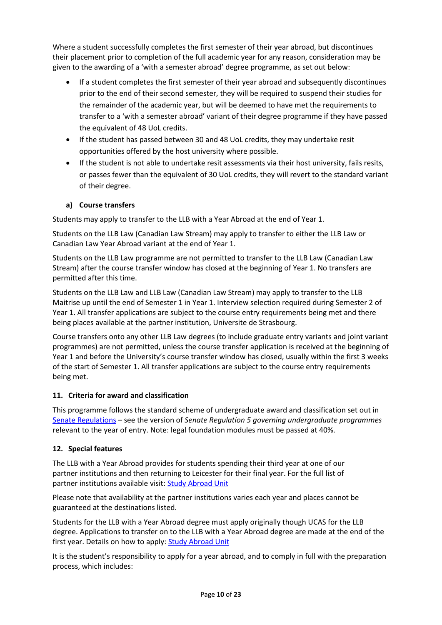Where a student successfully completes the first semester of their year abroad, but discontinues their placement prior to completion of the full academic year for any reason, consideration may be given to the awarding of a 'with a semester abroad' degree programme, as set out below:

- If a student completes the first semester of their year abroad and subsequently discontinues prior to the end of their second semester, they will be required to suspend their studies for the remainder of the academic year, but will be deemed to have met the requirements to transfer to a 'with a semester abroad' variant of their degree programme if they have passed the equivalent of 48 UoL credits.
- If the student has passed between 30 and 48 UoL credits, they may undertake resit opportunities offered by the host university where possible.
- If the student is not able to undertake resit assessments via their host university, fails resits, or passes fewer than the equivalent of 30 UoL credits, they will revert to the standard variant of their degree.

### **a) Course transfers**

Students may apply to transfer to the LLB with a Year Abroad at the end of Year 1.

Students on the LLB Law (Canadian Law Stream) may apply to transfer to either the LLB Law or Canadian Law Year Abroad variant at the end of Year 1.

Students on the LLB Law programme are not permitted to transfer to the LLB Law (Canadian Law Stream) after the course transfer window has closed at the beginning of Year 1. No transfers are permitted after this time.

Students on the LLB Law and LLB Law (Canadian Law Stream) may apply to transfer to the LLB Maitrise up until the end of Semester 1 in Year 1. Interview selection required during Semester 2 of Year 1. All transfer applications are subject to the course entry requirements being met and there being places available at the partner institution, Universite de Strasbourg.

Course transfers onto any other LLB Law degrees (to include graduate entry variants and joint variant programmes) are not permitted, unless the course transfer application is received at the beginning of Year 1 and before the University's course transfer window has closed, usually within the first 3 weeks of the start of Semester 1. All transfer applications are subject to the course entry requirements being met.

### **11. Criteria for award and classification**

This programme follows the standard scheme of undergraduate award and classification set out in [Senate Regulations –](http://www.le.ac.uk/senate-regulations) see the version of *Senate Regulation 5 governing undergraduate programmes* relevant to the year of entry. Note: legal foundation modules must be passed at 40%.

### **12. Special features**

The LLB with a Year Abroad provides for students spending their third year at one of our partner institutions and then returning to Leicester for their final year. For the full list of partner institutions available visit[: Study Abroad Unit](https://uniofleicester.sharepoint.com/sites/StudyAbroad)

Please note that availability at the partner institutions varies each year and places cannot be guaranteed at the destinations listed.

Students for the LLB with a Year Abroad degree must apply originally though UCAS for the LLB degree. Applications to transfer on to the LLB with a Year Abroad degree are made at the end of the first year. Details on how to apply[: Study Abroad Unit](https://uniofleicester.sharepoint.com/sites/StudyAbroad)

It is the student's responsibility to apply for a year abroad, and to comply in full with the preparation process, which includes: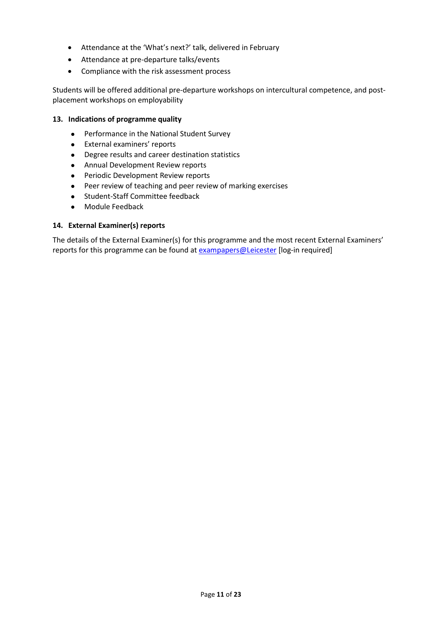- Attendance at the 'What's next?' talk, delivered in February
- Attendance at pre-departure talks/events
- Compliance with the risk assessment process

Students will be offered additional pre-departure workshops on intercultural competence, and postplacement workshops on employability

### **13. Indications of programme quality**

- Performance in the National Student Survey
- External examiners' reports
- Degree results and career destination statistics
- Annual Development Review reports
- Periodic Development Review reports
- Peer review of teaching and peer review of marking exercises
- Student-Staff Committee feedback
- Module Feedback

#### **14. External Examiner(s) reports**

The details of the External Examiner(s) for this programme and the most recent External Examiners' reports for this programme can be found at **[exampapers@Leicester](https://exampapers.le.ac.uk/)** [log-in required]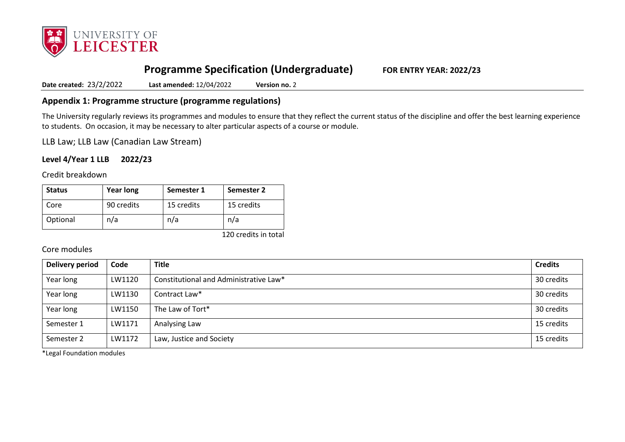

# **Programme Specification (Undergraduate) FOR ENTRY YEAR: 2022/23**

**Date created:** 23/2/2022 **Last amended:** 12/04/2022 **Version no.** 2

## **Appendix 1: Programme structure (programme regulations)**

The University regularly reviews its programmes and modules to ensure that they reflect the current status of the discipline and offer the best learning experience to students. On occasion, it may be necessary to alter particular aspects of a course or module.

LLB Law; LLB Law (Canadian Law Stream)

### **Level 4/Year 1 LLB 2022/23**

Credit breakdown

| <b>Status</b> | <b>Year long</b> | Semester 1 | Semester 2 |
|---------------|------------------|------------|------------|
| Core          | 90 credits       | 15 credits | 15 credits |
| Optional      | n/a              | n/a        | n/a        |

120 credits in total

### Core modules

| Delivery period | Code   | <b>Title</b>                           | <b>Credits</b> |
|-----------------|--------|----------------------------------------|----------------|
| Year long       | LW1120 | Constitutional and Administrative Law* | 30 credits     |
| Year long       | LW1130 | Contract Law*                          | 30 credits     |
| Year long       | LW1150 | The Law of Tort*                       | 30 credits     |
| Semester 1      | LW1171 | Analysing Law                          | 15 credits     |
| Semester 2      | LW1172 | Law, Justice and Society               | 15 credits     |

\*Legal Foundation modules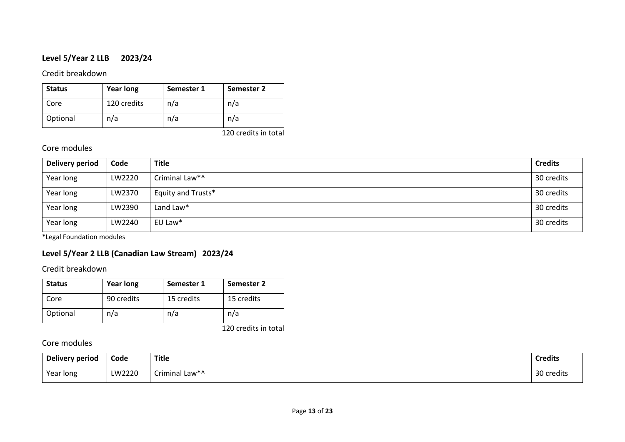## **Level 5/Year 2 LLB 2023/24**

Credit breakdown

| <b>Status</b> | <b>Year long</b> | Semester 1 | Semester 2 |
|---------------|------------------|------------|------------|
| Core          | 120 credits      | n/a        | n/a        |
| Optional      | n/a              | n/a        | n/a        |

120 credits in total

## Core modules

| Delivery period | Code   | <b>Title</b>       | <b>Credits</b> |
|-----------------|--------|--------------------|----------------|
| Year long       | LW2220 | Criminal Law*^     | 30 credits     |
| Year long       | LW2370 | Equity and Trusts* | 30 credits     |
| Year long       | LW2390 | Land Law*          | 30 credits     |
| Year long       | LW2240 | EU Law*            | 30 credits     |

\*Legal Foundation modules

## **Level 5/Year 2 LLB (Canadian Law Stream) 2023/24**

Credit breakdown

| <b>Status</b> | <b>Year long</b> | Semester 1 | Semester 2 |
|---------------|------------------|------------|------------|
| Core          | 90 credits       | 15 credits | 15 credits |
| Optional      | n/a              | n/a        | n/a        |

120 credits in total

## Core modules

| <b>Delivery period</b> | Code   | <b>Title</b>                     | <b>Credits</b> |
|------------------------|--------|----------------------------------|----------------|
| Year long              | LW2220 | $\sim$ $\cdot$<br>Criminal Law*^ | 30 credits     |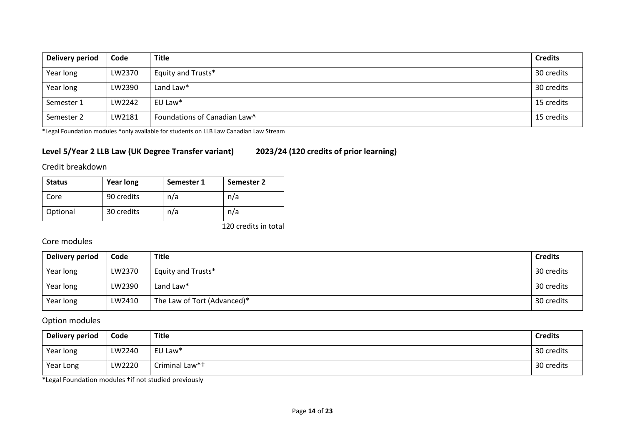| Delivery period | Code   | <b>Title</b>                 | <b>Credits</b> |
|-----------------|--------|------------------------------|----------------|
| Year long       | LW2370 | Equity and Trusts*           | 30 credits     |
| Year long       | LW2390 | Land Law*                    | 30 credits     |
| Semester 1      | LW2242 | EU Law*                      | 15 credits     |
| Semester 2      | LW2181 | Foundations of Canadian Law^ | 15 credits     |

\*Legal Foundation modules ^only available for students on LLB Law Canadian Law Stream

## **Level 5/Year 2 LLB Law (UK Degree Transfer variant) 2023/24 (120 credits of prior learning)**

Credit breakdown

| <b>Status</b> | <b>Year long</b> | Semester 1 | Semester 2           |
|---------------|------------------|------------|----------------------|
| Core          | 90 credits       | n/a        | n/a                  |
| Optional      | 30 credits       | n/a        | n/a                  |
|               |                  |            | 120 credits in total |

## Core modules

| Delivery period | Code   | Title                       | <b>Credits</b> |
|-----------------|--------|-----------------------------|----------------|
| Year long       | LW2370 | Equity and Trusts*          | 30 credits     |
| Year long       | LW2390 | Land Law*                   | 30 credits     |
| Year long       | LW2410 | The Law of Tort (Advanced)* | 30 credits     |

## Option modules

| <b>Delivery period</b> | Code   | Title          | <b>Credits</b> |
|------------------------|--------|----------------|----------------|
| Year long              | LW2240 | EU Law*        | 30 credits     |
| Year Long              | LW2220 | Criminal Law*+ | 30 credits     |

\*Legal Foundation modules †if not studied previously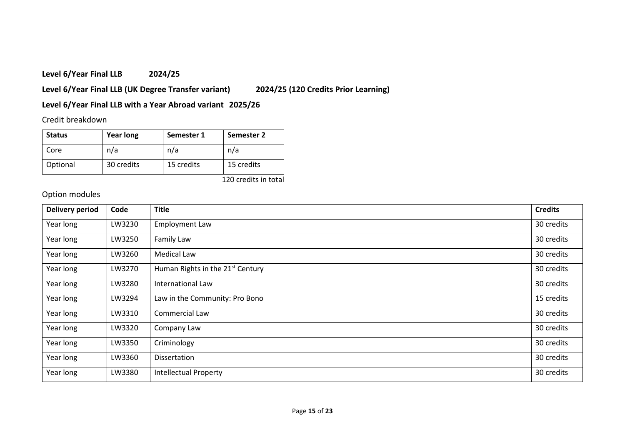## **Level 6/Year Final LLB 2024/25**

**Level 6/Year Final LLB (UK Degree Transfer variant) 2024/25 (120 Credits Prior Learning)**

## **Level 6/Year Final LLB with a Year Abroad variant 2025/26**

## Credit breakdown

| <b>Status</b> | <b>Year long</b> | Semester 1 | Semester 2 |
|---------------|------------------|------------|------------|
| Core          | n/a              | n/a        | n/a        |
| Optional      | 30 credits       | 15 credits | 15 credits |

120 credits in total

# Option modules

| <b>Delivery period</b> | Code   | <b>Title</b>                                 | <b>Credits</b> |
|------------------------|--------|----------------------------------------------|----------------|
| Year long              | LW3230 | <b>Employment Law</b>                        | 30 credits     |
| Year long              | LW3250 | Family Law                                   | 30 credits     |
| Year long              | LW3260 | <b>Medical Law</b>                           | 30 credits     |
| Year long              | LW3270 | Human Rights in the 21 <sup>st</sup> Century | 30 credits     |
| Year long              | LW3280 | International Law                            | 30 credits     |
| Year long              | LW3294 | Law in the Community: Pro Bono               | 15 credits     |
| Year long              | LW3310 | Commercial Law                               | 30 credits     |
| Year long              | LW3320 | Company Law                                  | 30 credits     |
| Year long              | LW3350 | Criminology                                  | 30 credits     |
| Year long              | LW3360 | Dissertation                                 | 30 credits     |
| Year long              | LW3380 | <b>Intellectual Property</b>                 | 30 credits     |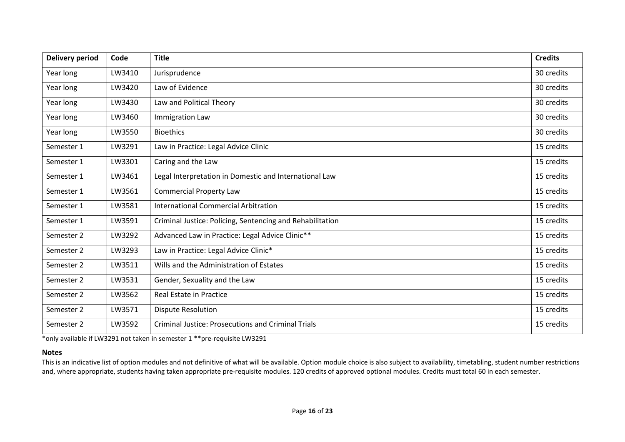| <b>Delivery period</b> | Code   | <b>Title</b>                                              | <b>Credits</b> |
|------------------------|--------|-----------------------------------------------------------|----------------|
| Year long              | LW3410 | Jurisprudence                                             | 30 credits     |
| Year long              | LW3420 | Law of Evidence                                           | 30 credits     |
| Year long              | LW3430 | Law and Political Theory                                  | 30 credits     |
| Year long              | LW3460 | Immigration Law                                           | 30 credits     |
| Year long              | LW3550 | <b>Bioethics</b>                                          | 30 credits     |
| Semester 1             | LW3291 | Law in Practice: Legal Advice Clinic                      | 15 credits     |
| Semester 1             | LW3301 | Caring and the Law                                        | 15 credits     |
| Semester 1             | LW3461 | Legal Interpretation in Domestic and International Law    | 15 credits     |
| Semester 1             | LW3561 | <b>Commercial Property Law</b>                            | 15 credits     |
| Semester 1             | LW3581 | International Commercial Arbitration                      | 15 credits     |
| Semester 1             | LW3591 | Criminal Justice: Policing, Sentencing and Rehabilitation | 15 credits     |
| Semester 2             | LW3292 | Advanced Law in Practice: Legal Advice Clinic**           | 15 credits     |
| Semester 2             | LW3293 | Law in Practice: Legal Advice Clinic*                     | 15 credits     |
| Semester 2             | LW3511 | Wills and the Administration of Estates                   | 15 credits     |
| Semester 2             | LW3531 | Gender, Sexuality and the Law                             | 15 credits     |
| Semester 2             | LW3562 | Real Estate in Practice                                   | 15 credits     |
| Semester 2             | LW3571 | <b>Dispute Resolution</b>                                 | 15 credits     |
| Semester 2             | LW3592 | <b>Criminal Justice: Prosecutions and Criminal Trials</b> | 15 credits     |

\*only available if LW3291 not taken in semester 1 \*\*pre-requisite LW3291

#### **Notes**

This is an indicative list of option modules and not definitive of what will be available. Option module choice is also subject to availability, timetabling, student number restrictions and, where appropriate, students having taken appropriate pre-requisite modules. 120 credits of approved optional modules. Credits must total 60 in each semester.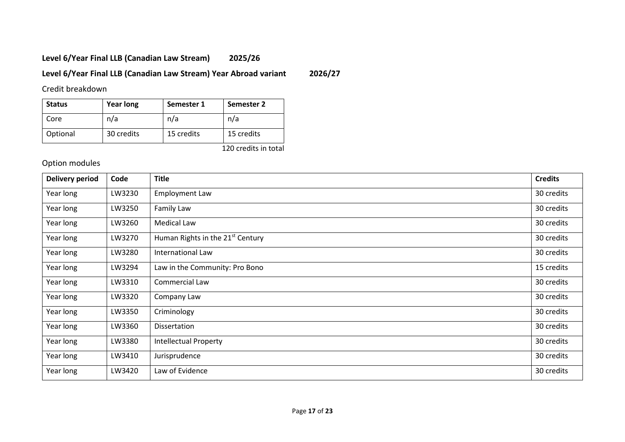# **Level 6/Year Final LLB (Canadian Law Stream) 2025/26**

## **Level 6/Year Final LLB (Canadian Law Stream) Year Abroad variant 2026/27**

Credit breakdown

| <b>Status</b> | <b>Year long</b> | Semester 1 | Semester 2 |
|---------------|------------------|------------|------------|
| Core          | n/a              | n/a        | n/a        |
| Optional      | 30 credits       | 15 credits | 15 credits |

120 credits in total

# Option modules

| <b>Delivery period</b> | Code   | <b>Title</b>                                 | <b>Credits</b> |
|------------------------|--------|----------------------------------------------|----------------|
| Year long              | LW3230 | <b>Employment Law</b>                        | 30 credits     |
| Year long              | LW3250 | Family Law                                   | 30 credits     |
| Year long              | LW3260 | Medical Law                                  | 30 credits     |
| Year long              | LW3270 | Human Rights in the 21 <sup>st</sup> Century | 30 credits     |
| Year long              | LW3280 | International Law                            | 30 credits     |
| Year long              | LW3294 | Law in the Community: Pro Bono               | 15 credits     |
| Year long              | LW3310 | Commercial Law                               | 30 credits     |
| Year long              | LW3320 | Company Law                                  | 30 credits     |
| Year long              | LW3350 | Criminology                                  | 30 credits     |
| Year long              | LW3360 | Dissertation                                 | 30 credits     |
| Year long              | LW3380 | <b>Intellectual Property</b>                 | 30 credits     |
| Year long              | LW3410 | Jurisprudence                                | 30 credits     |
| Year long              | LW3420 | Law of Evidence                              | 30 credits     |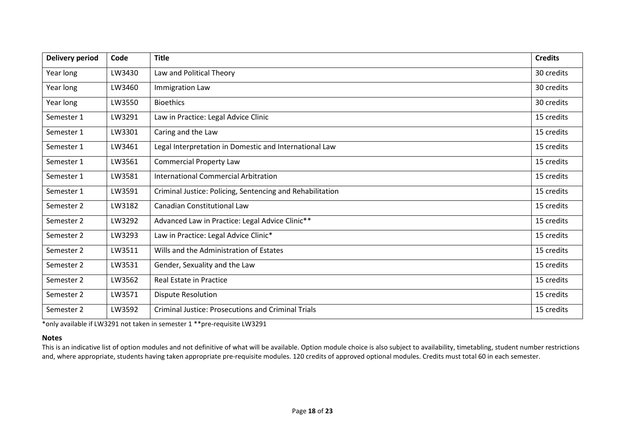| <b>Delivery period</b> | Code   | <b>Title</b>                                              | <b>Credits</b> |
|------------------------|--------|-----------------------------------------------------------|----------------|
| Year long              | LW3430 | Law and Political Theory                                  | 30 credits     |
| Year long              | LW3460 | <b>Immigration Law</b>                                    | 30 credits     |
| Year long              | LW3550 | <b>Bioethics</b>                                          | 30 credits     |
| Semester 1             | LW3291 | Law in Practice: Legal Advice Clinic                      | 15 credits     |
| Semester 1             | LW3301 | Caring and the Law                                        | 15 credits     |
| Semester 1             | LW3461 | Legal Interpretation in Domestic and International Law    | 15 credits     |
| Semester 1             | LW3561 | <b>Commercial Property Law</b>                            | 15 credits     |
| Semester 1             | LW3581 | <b>International Commercial Arbitration</b>               | 15 credits     |
| Semester 1             | LW3591 | Criminal Justice: Policing, Sentencing and Rehabilitation | 15 credits     |
| Semester 2             | LW3182 | <b>Canadian Constitutional Law</b>                        | 15 credits     |
| Semester 2             | LW3292 | Advanced Law in Practice: Legal Advice Clinic**           | 15 credits     |
| Semester 2             | LW3293 | Law in Practice: Legal Advice Clinic*                     | 15 credits     |
| Semester 2             | LW3511 | Wills and the Administration of Estates                   | 15 credits     |
| Semester 2             | LW3531 | Gender, Sexuality and the Law                             | 15 credits     |
| Semester 2             | LW3562 | Real Estate in Practice                                   | 15 credits     |
| Semester 2             | LW3571 | <b>Dispute Resolution</b>                                 | 15 credits     |
| Semester 2             | LW3592 | <b>Criminal Justice: Prosecutions and Criminal Trials</b> | 15 credits     |

\*only available if LW3291 not taken in semester 1 \*\*pre-requisite LW3291

#### **Notes**

This is an indicative list of option modules and not definitive of what will be available. Option module choice is also subject to availability, timetabling, student number restrictions and, where appropriate, students having taken appropriate pre-requisite modules. 120 credits of approved optional modules. Credits must total 60 in each semester.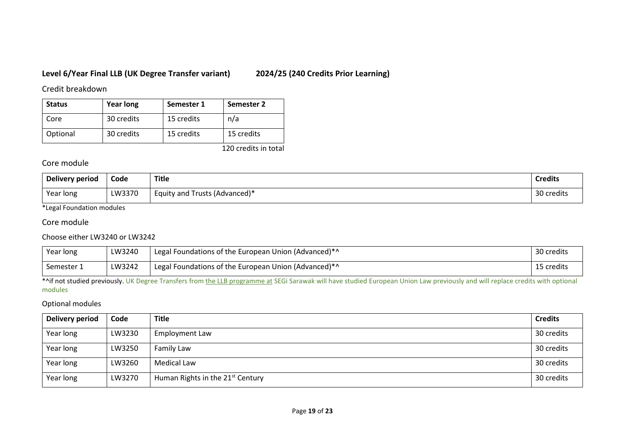## **Level 6/Year Final LLB (UK Degree Transfer variant) 2024/25 (240 Credits Prior Learning)**

Credit breakdown

| <b>Status</b> | <b>Year long</b> | Semester 1 | Semester 2 |
|---------------|------------------|------------|------------|
| Core          | 30 credits       | 15 credits | n/a        |
| Optional      | 30 credits       | 15 credits | 15 credits |

120 credits in total

## Core module

| Delivery period | Code   | <b>Title</b>                  | <b>Credits</b> |
|-----------------|--------|-------------------------------|----------------|
| Year long       | LW3370 | Equity and Trusts (Advanced)* | 30 credits     |

\*Legal Foundation modules

### Core module

### Choose either LW3240 or LW3242

| Year long  | LW3240 | Legal Foundations of the European Union (Advanced)*^ | 30 credits |
|------------|--------|------------------------------------------------------|------------|
| Semester 1 | LW3242 | Legal Foundations of the European Union (Advanced)*^ | 15 credits |

\*^if not studied previously. UK Degree Transfers from the LLB programme at SEGi Sarawak will have studied European Union Law previously and will replace credits with optional modules

### Optional modules

| Delivery period | Code   | <b>Title</b>                                 | <b>Credits</b> |
|-----------------|--------|----------------------------------------------|----------------|
| Year long       | LW3230 | Employment Law                               | 30 credits     |
| Year long       | LW3250 | Family Law                                   | 30 credits     |
| Year long       | LW3260 | Medical Law                                  | 30 credits     |
| Year long       | LW3270 | Human Rights in the 21 <sup>st</sup> Century | 30 credits     |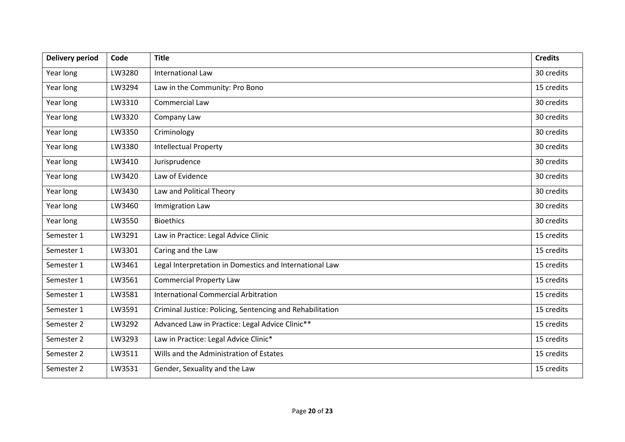| <b>Delivery period</b> | Code   | <b>Title</b>                                              | <b>Credits</b> |
|------------------------|--------|-----------------------------------------------------------|----------------|
| Year long              | LW3280 | International Law                                         | 30 credits     |
| Year long              | LW3294 | Law in the Community: Pro Bono                            | 15 credits     |
| Year long              | LW3310 | Commercial Law                                            | 30 credits     |
| Year long              | LW3320 | Company Law                                               | 30 credits     |
| Year long              | LW3350 | Criminology                                               | 30 credits     |
| Year long              | LW3380 | <b>Intellectual Property</b>                              | 30 credits     |
| Year long              | LW3410 | Jurisprudence                                             | 30 credits     |
| Year long              | LW3420 | Law of Evidence                                           | 30 credits     |
| Year long              | LW3430 | Law and Political Theory                                  | 30 credits     |
| Year long              | LW3460 | <b>Immigration Law</b>                                    | 30 credits     |
| Year long              | LW3550 | <b>Bioethics</b>                                          | 30 credits     |
| Semester 1             | LW3291 | Law in Practice: Legal Advice Clinic                      | 15 credits     |
| Semester 1             | LW3301 | Caring and the Law                                        | 15 credits     |
| Semester 1             | LW3461 | Legal Interpretation in Domestics and International Law   | 15 credits     |
| Semester 1             | LW3561 | <b>Commercial Property Law</b>                            | 15 credits     |
| Semester 1             | LW3581 | <b>International Commercial Arbitration</b>               | 15 credits     |
| Semester 1             | LW3591 | Criminal Justice: Policing, Sentencing and Rehabilitation | 15 credits     |
| Semester 2             | LW3292 | Advanced Law in Practice: Legal Advice Clinic**           | 15 credits     |
| Semester 2             | LW3293 | Law in Practice: Legal Advice Clinic*                     | 15 credits     |
| Semester 2             | LW3511 | Wills and the Administration of Estates                   | 15 credits     |
| Semester 2             | LW3531 | Gender, Sexuality and the Law                             | 15 credits     |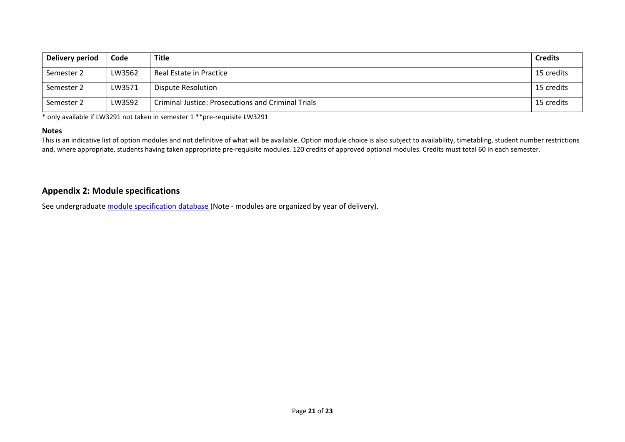| Delivery period | Code   | <b>Title</b>                                              | <b>Credits</b> |
|-----------------|--------|-----------------------------------------------------------|----------------|
| Semester 2      | LW3562 | Real Estate in Practice                                   | 15 credits     |
| Semester 2      | LW3571 | Dispute Resolution                                        | 15 credits     |
| Semester 2      | LW3592 | <b>Criminal Justice: Prosecutions and Criminal Trials</b> | 15 credits     |

\* only available if LW3291 not taken in semester 1 \*\*pre-requisite LW3291

#### **Notes**

This is an indicative list of option modules and not definitive of what will be available. Option module choice is also subject to availability, timetabling, student number restrictions and, where appropriate, students having taken appropriate pre-requisite modules. 120 credits of approved optional modules. Credits must total 60 in each semester.

## **Appendix 2: Module specifications**

See undergraduat[e module specification database](http://www.le.ac.uk/sas/courses/documentation) (Note - modules are organized by year of delivery).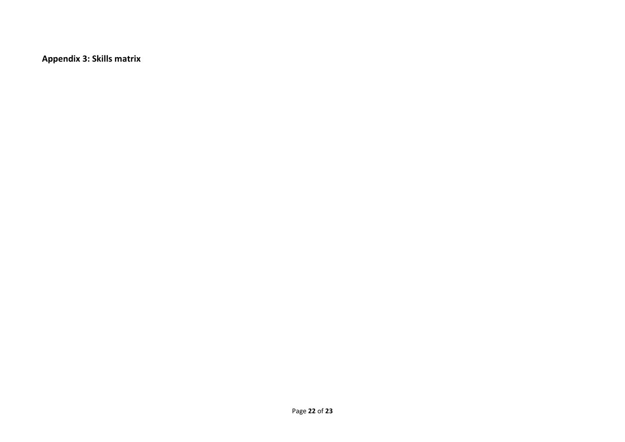**Appendix 3: Skills matrix**